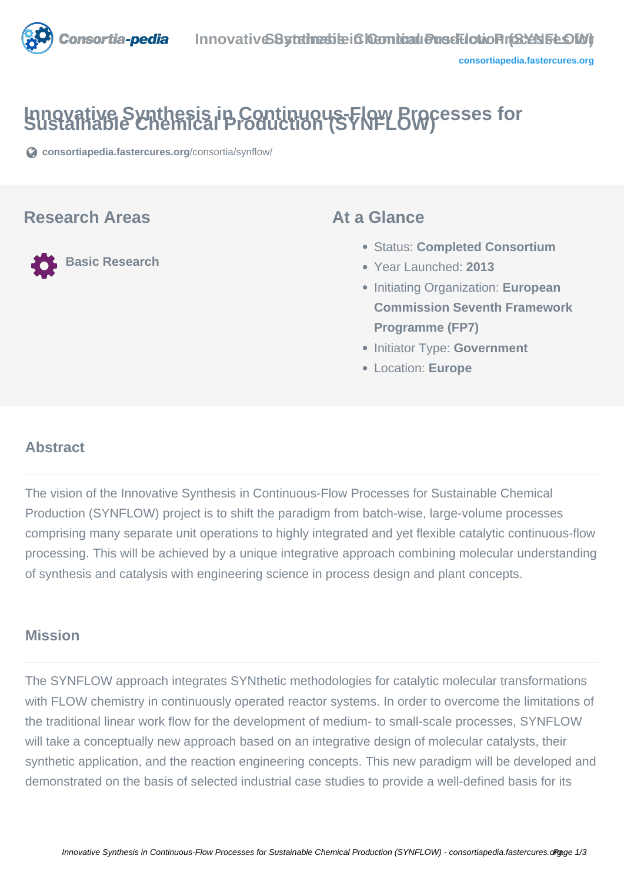

# **Innovative Synthesis in Continuous-Flow Processes for Sustainable Chemical Production (SYNFLOW)**

**[consortiapedia.fastercures.org](https://consortiapedia.fastercures.org/consortia/synflow/)**[/consortia/synflow/](https://consortiapedia.fastercures.org/consortia/synflow/)

#### **Research Areas**

**Basic Research**

#### **At a Glance**

- Status: **Completed Consortium**
- Year Launched: **2013**
- Initiating Organization: **European Commission Seventh Framework Programme (FP7)**
- **Initiator Type: Government**
- Location: **Europe**

#### $\overline{a}$ **Abstract**

The vision of the Innovative Synthesis in Continuous-Flow Processes for Sustainable Chemical Production (SYNFLOW) project is to shift the paradigm from batch-wise, large-volume processes comprising many separate unit operations to highly integrated and yet flexible catalytic continuous-flow processing. This will be achieved by a unique integrative approach combining molecular understanding of synthesis and catalysis with engineering science in process design and plant concepts.

#### **Mission**

The SYNFLOW approach integrates SYNthetic methodologies for catalytic molecular transformations with FLOW chemistry in continuously operated reactor systems. In order to overcome the limitations of the traditional linear work flow for the development of medium- to small-scale processes, SYNFLOW will take a conceptually new approach based on an integrative design of molecular catalysts, their synthetic application, and the reaction engineering concepts. This new paradigm will be developed and demonstrated on the basis of selected industrial case studies to provide a well-defined basis for its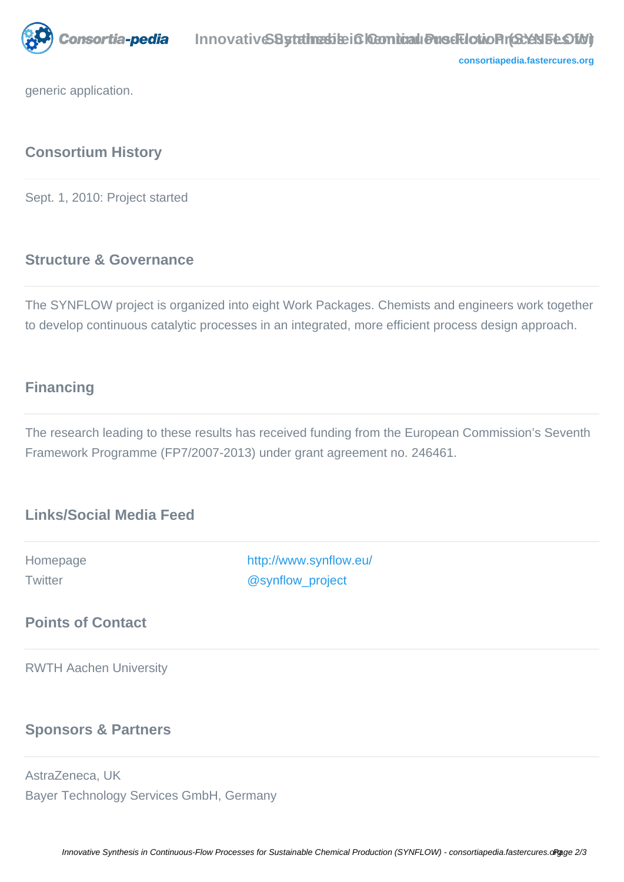

**[consortiapedia.fastercures.org](http://consortiapedia.fastercures.org/)**

generic application.

# **Consortium History**

Sept. 1, 2010: Project started

## **Structure & Governance**

The SYNFLOW project is organized into eight Work Packages. Chemists and engineers work together to develop continuous catalytic processes in an integrated, more efficient process design approach.

## **Financing**

The research leading to these results has received funding from the European Commission's Seventh Framework Programme (FP7/2007-2013) under grant agreement no. 246461.

## **Links/Social Media Feed**

Homepage <http://www.synflow.eu/> Twitter [@synflow\\_project](https://twitter.com/synflow_project)

#### **Points of Contact**

RWTH Aachen University

#### **Sponsors & Partners**

AstraZeneca, UK Bayer Technology Services GmbH, Germany